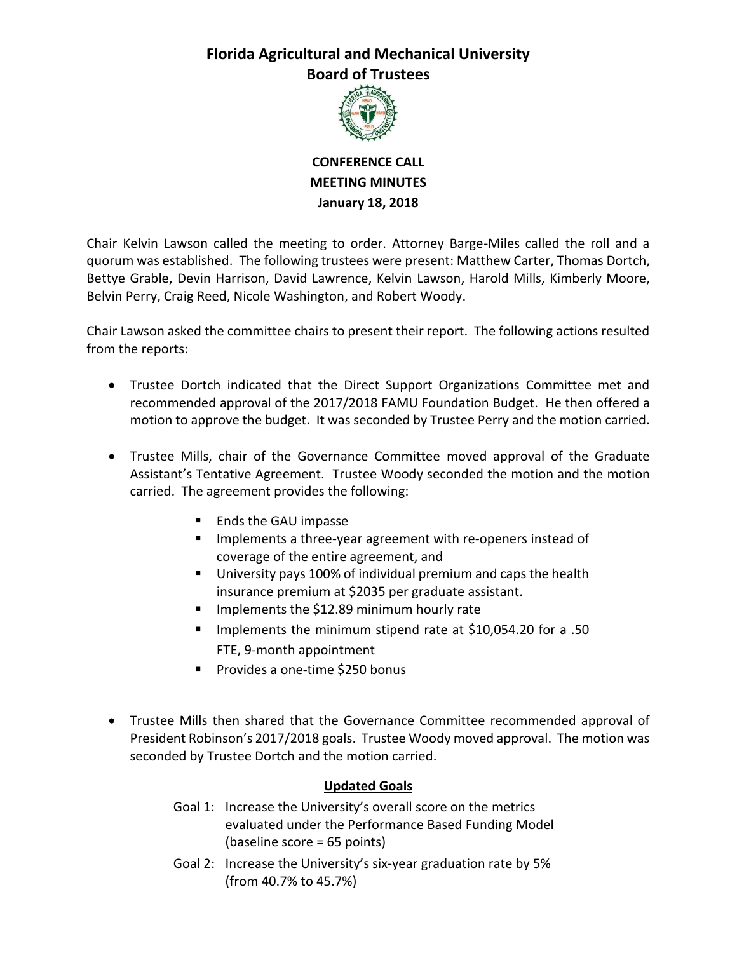## **Florida Agricultural and Mechanical University Board of Trustees**



**CONFERENCE CALL MEETING MINUTES January 18, 2018**

Chair Kelvin Lawson called the meeting to order. Attorney Barge-Miles called the roll and a quorum was established. The following trustees were present: Matthew Carter, Thomas Dortch, Bettye Grable, Devin Harrison, David Lawrence, Kelvin Lawson, Harold Mills, Kimberly Moore, Belvin Perry, Craig Reed, Nicole Washington, and Robert Woody.

Chair Lawson asked the committee chairs to present their report. The following actions resulted from the reports:

- Trustee Dortch indicated that the Direct Support Organizations Committee met and recommended approval of the 2017/2018 FAMU Foundation Budget. He then offered a motion to approve the budget. It was seconded by Trustee Perry and the motion carried.
- Trustee Mills, chair of the Governance Committee moved approval of the Graduate Assistant's Tentative Agreement. Trustee Woody seconded the motion and the motion carried. The agreement provides the following:
	- Ends the GAU impasse
	- **IMPLEMENTED INTEG.** Implements a three-year agreement with re-openers instead of coverage of the entire agreement, and
	- University pays 100% of individual premium and caps the health insurance premium at \$2035 per graduate assistant.
	- Implements the \$12.89 minimum hourly rate
	- Implements the minimum stipend rate at \$10,054.20 for a .50 FTE, 9-month appointment
	- Provides a one-time \$250 bonus
- Trustee Mills then shared that the Governance Committee recommended approval of President Robinson's 2017/2018 goals. Trustee Woody moved approval. The motion was seconded by Trustee Dortch and the motion carried.

## **Updated Goals**

- Goal 1: Increase the University's overall score on the metrics evaluated under the Performance Based Funding Model (baseline score = 65 points)
- Goal 2: Increase the University's six-year graduation rate by 5% (from 40.7% to 45.7%)